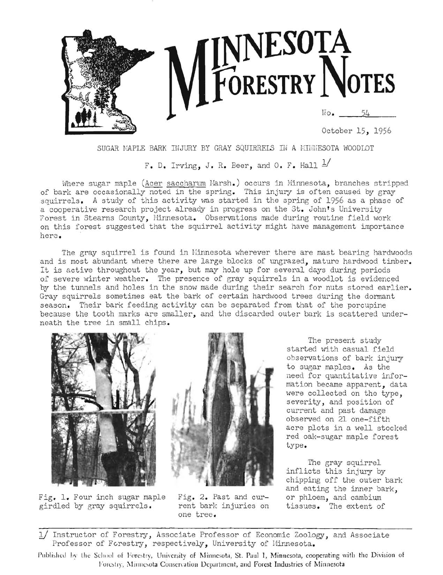

SUGAR MAPLE BARK INJURY BY GRAY SQUIRRELS IN A MINNESOTA WOODLOT

F. D. Irving, J. R. Beer, and O. F. Hall  $\frac{1}{1}$ 

Where sugar maple (Acer saccharum Marsh.) occurs in Minnesota, branches stripped of bark are occasionally noted in the spring. This injury is often caused by gray squirrels. A study of this activity was started in the spring of 1956 as a phase of a cooperative research project already in progress on the St. John's University Forest in Stearns County, Hinnesota. Observations made during routine field work on this forest suggested that the squirrel activity might have management importance here.

The gray squirrel is found in Minnesota wherever there are mast bearing hardwoods and is most abundant where there are large blocks of ungrazed, mature hardwood timber. It is active throughout the year, but may hole up for several days during periods of severe winter weather. The presence of gray squirrels in a woodlot is evidenced by the tunnels and holes in the snow made during their search for nuts stored earlier. Gray squirrels sometimes eat the bark of certain hardwood trees during the dormant season. Their bark feeding activity can be separated from that of the porcupine because the tooth marks are smaller, and the discarded outer bark is scattered underneath the tree in small chips.



Fig. 1. Four inch sugar maple girdled by gray squirrels.

Fig. 2. Past and current bark injuries on one tree.

The present study started with casual field observations of bark injury to sugar maples. As the need for quantitative information became apparent, data were collected on the type, severity, and position of current and past damage observed on 21 one-fifth acre plots in a well stocked red oak-sugar maple forest type.

The gray squirrel inflicts this injury by chipping off the outer bark and eating the inner bark, or phloem, and cambium tissues. The extent of

1/ Instructor of Forestry, Associate Professor of Economic Zoology, and Associate Professor of Forestry, respectively, University of Minnesota.

Published by the School of Forestry, University of Minnesota, St. Paul 1, Minnesota, cooperating with the Division of Forestry, Minnesota Conservation Department, and Forest Industries of Minnesota